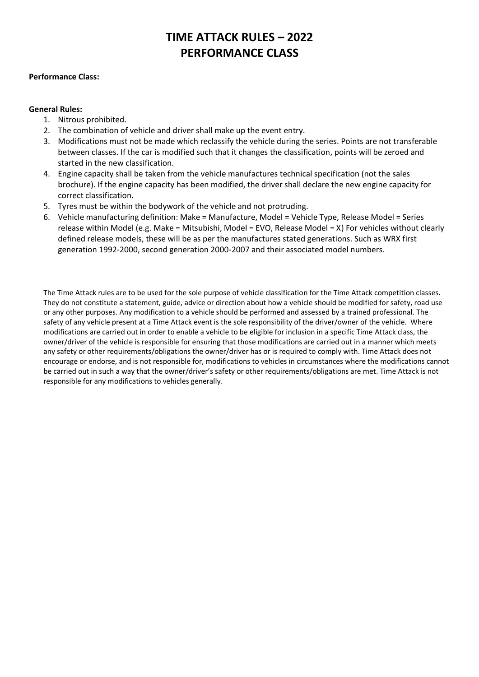# **TIME ATTACK RULES – 2022 PERFORMANCE CLASS**

#### **Performance Class:**

#### **General Rules:**

- 1. Nitrous prohibited.
- 2. The combination of vehicle and driver shall make up the event entry.
- 3. Modifications must not be made which reclassify the vehicle during the series. Points are not transferable between classes. If the car is modified such that it changes the classification, points will be zeroed and started in the new classification.
- 4. Engine capacity shall be taken from the vehicle manufactures technical specification (not the sales brochure). If the engine capacity has been modified, the driver shall declare the new engine capacity for correct classification.
- 5. Tyres must be within the bodywork of the vehicle and not protruding.
- 6. Vehicle manufacturing definition: Make = Manufacture, Model = Vehicle Type, Release Model = Series release within Model (e.g. Make = Mitsubishi, Model = EVO, Release Model = X) For vehicles without clearly defined release models, these will be as per the manufactures stated generations. Such as WRX first generation 1992-2000, second generation 2000-2007 and their associated model numbers.

The Time Attack rules are to be used for the sole purpose of vehicle classification for the Time Attack competition classes. They do not constitute a statement, guide, advice or direction about how a vehicle should be modified for safety, road use or any other purposes. Any modification to a vehicle should be performed and assessed by a trained professional. The safety of any vehicle present at a Time Attack event is the sole responsibility of the driver/owner of the vehicle. Where modifications are carried out in order to enable a vehicle to be eligible for inclusion in a specific Time Attack class, the owner/driver of the vehicle is responsible for ensuring that those modifications are carried out in a manner which meets any safety or other requirements/obligations the owner/driver has or is required to comply with. Time Attack does not encourage or endorse, and is not responsible for, modifications to vehicles in circumstances where the modifications cannot be carried out in such a way that the owner/driver's safety or other requirements/obligations are met. Time Attack is not responsible for any modifications to vehicles generally.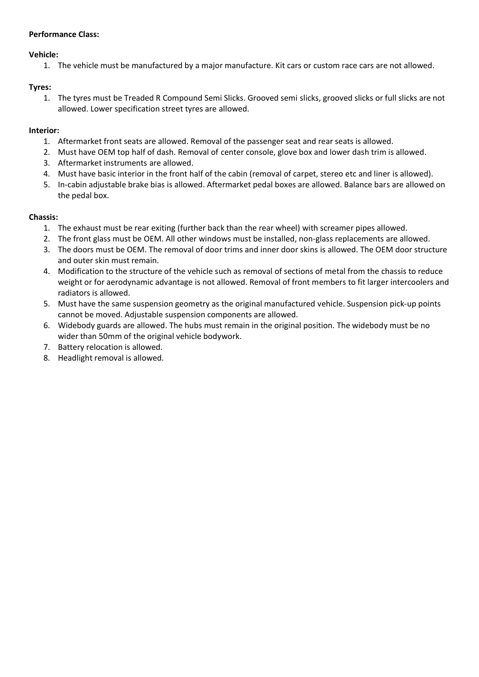## **Performance Class:**

## **Vehicle:**

1. The vehicle must be manufactured by a major manufacture. Kit cars or custom race cars are not allowed.

## **Tyres:**

1. The tyres must be Treaded R Compound Semi Slicks. Grooved semi slicks, grooved slicks or full slicks are not allowed. Lower specification street tyres are allowed.

## **Interior:**

- 1. Aftermarket front seats are allowed. Removal of the passenger seat and rear seats is allowed.
- 2. Must have OEM top half of dash. Removal of center console, glove box and lower dash trim is allowed.
- 3. Aftermarket instruments are allowed.
- 4. Must have basic interior in the front half of the cabin (removal of carpet, stereo etc and liner is allowed).
- 5. In-cabin adjustable brake bias is allowed. Aftermarket pedal boxes are allowed. Balance bars are allowed on the pedal box.

#### **Chassis:**

- 1. The exhaust must be rear exiting (further back than the rear wheel) with screamer pipes allowed.
- 2. The front glass must be OEM. All other windows must be installed, non-glass replacements are allowed.
- 3. The doors must be OEM. The removal of door trims and inner door skins is allowed. The OEM door structure and outer skin must remain.
- 4. Modification to the structure of the vehicle such as removal of sections of metal from the chassis to reduce weight or for aerodynamic advantage is not allowed. Removal of front members to fit larger intercoolers and radiators is allowed.
- 5. Must have the same suspension geometry as the original manufactured vehicle. Suspension pick-up points cannot be moved. Adjustable suspension components are allowed.
- 6. Widebody guards are allowed. The hubs must remain in the original position. The widebody must be no wider than 50mm of the original vehicle bodywork.
- 7. Battery relocation is allowed.
- 8. Headlight removal is allowed.